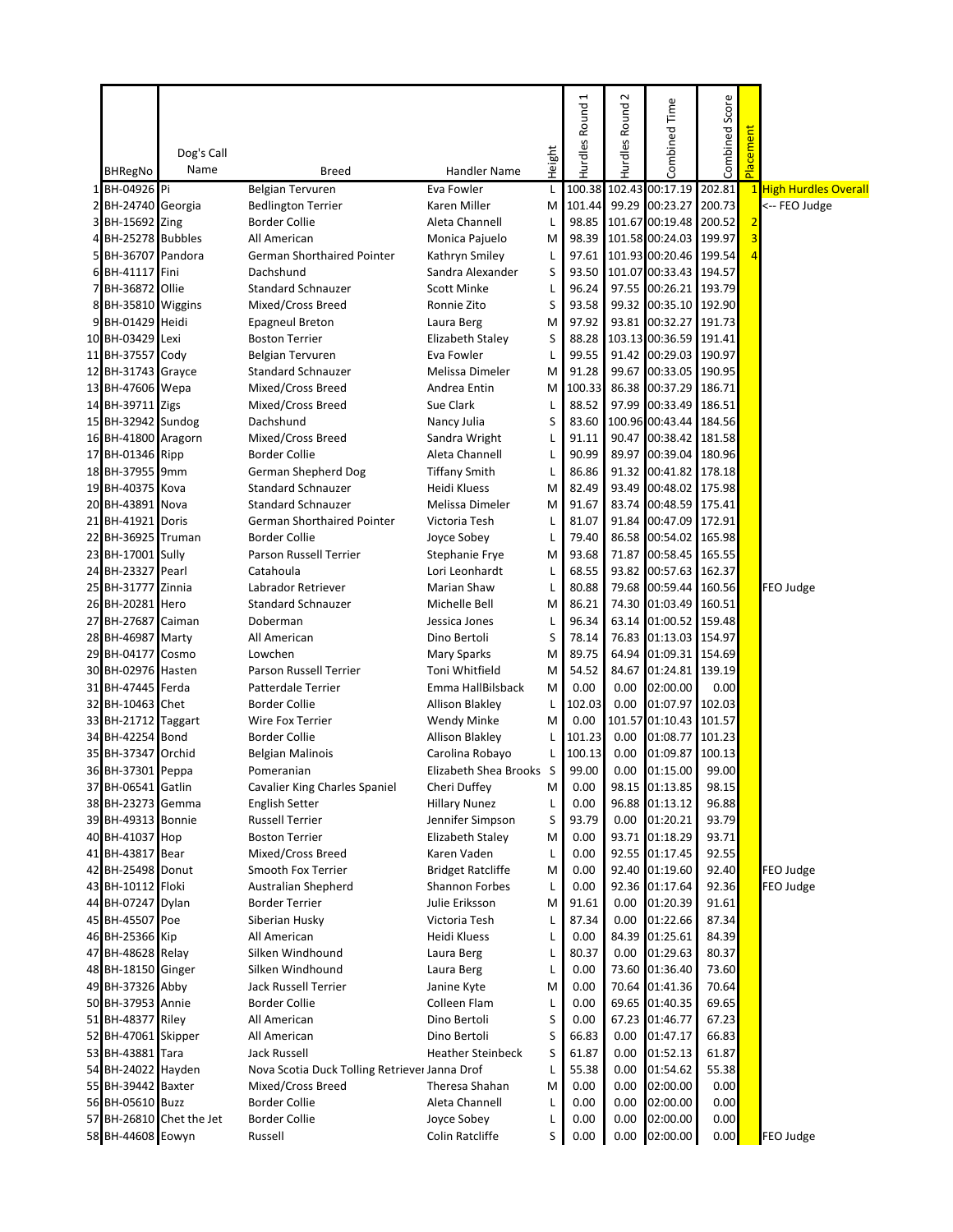|   | BHRegNo             | Dog's Call<br>Name       | <b>Breed</b>                                  | <b>Handler Name</b>      | Height | Hurdles Round 1 | $\sim$<br>Hurdles Round | Combined Time          | Combined Score | acement                 |                       |
|---|---------------------|--------------------------|-----------------------------------------------|--------------------------|--------|-----------------|-------------------------|------------------------|----------------|-------------------------|-----------------------|
|   | 1 BH-04926 Pi       |                          | <b>Belgian Tervuren</b>                       | Eva Fowler               | L      | 100.38          |                         | 102.43 00:17.19        | 202.81         |                         | 1 High Hurdles Overal |
|   | 2 BH-24740 Georgia  |                          | <b>Bedlington Terrier</b>                     | Karen Miller             | M      | 101.44          |                         | 99.29 00:23.27         | 200.73         |                         | <-- FEO Judge         |
|   | 3 BH-15692 Zing     |                          | <b>Border Collie</b>                          | Aleta Channell           | L      | 98.85           |                         | 101.67 00:19.48        | 200.52         | $\overline{2}$          |                       |
| 4 | BH-25278 Bubbles    |                          | All American                                  | Monica Pajuelo           | M      | 98.39           |                         | 101.58 00:24.03        | 199.97         | $\overline{\mathbf{3}}$ |                       |
| 5 | BH-36707 Pandora    |                          | <b>German Shorthaired Pointer</b>             | Kathryn Smiley           | L      | 97.61           |                         | 101.93 00:20.46        | 199.54         | $\overline{4}$          |                       |
|   | 6 BH-41117 Fini     |                          | Dachshund                                     | Sandra Alexander         | S      | 93.50           |                         | 101.07 00:33.43 194.57 |                |                         |                       |
|   | 7 BH-36872 Ollie    |                          | <b>Standard Schnauzer</b>                     | <b>Scott Minke</b>       | L      | 96.24           |                         | 97.55 00:26.21 193.79  |                |                         |                       |
|   | 8 BH-35810 Wiggins  |                          | Mixed/Cross Breed                             | Ronnie Zito              | S      | 93.58           | 99.32                   | 00:35.10 192.90        |                |                         |                       |
| 9 | BH-01429 Heidi      |                          | <b>Epagneul Breton</b>                        | Laura Berg               | M      | 97.92           | 93.81                   | 00:32.27 191.73        |                |                         |                       |
|   | 10 BH-03429 Lexi    |                          | <b>Boston Terrier</b>                         | Elizabeth Staley         | S      | 88.28           |                         | 103.13 00:36.59        | 191.41         |                         |                       |
|   | 11 BH-37557 Cody    |                          | <b>Belgian Tervuren</b>                       | Eva Fowler               | L      | 99.55           |                         | 91.42 00:29.03         | 190.97         |                         |                       |
|   | 12 BH-31743 Grayce  |                          | <b>Standard Schnauzer</b>                     | Melissa Dimeler          | M      | 91.28           | 99.67                   | 00:33.05               | 190.95         |                         |                       |
|   | 13 BH-47606 Wepa    |                          | Mixed/Cross Breed                             | Andrea Entin             | M      | 100.33          | 86.38                   | 00:37.29               | 186.71         |                         |                       |
|   | 14 BH-39711 Zigs    |                          | Mixed/Cross Breed                             | Sue Clark                | L      | 88.52           | 97.99                   | 00:33.49               | 186.51         |                         |                       |
|   | 15 BH-32942 Sundog  |                          | Dachshund                                     | Nancy Julia              | S      | 83.60           |                         | 100.96 00:43.44        | 184.56         |                         |                       |
|   |                     |                          |                                               |                          |        | 91.11           |                         | 90.47 00:38.42 181.58  |                |                         |                       |
|   | 16 BH-41800 Aragorn |                          | Mixed/Cross Breed                             | Sandra Wright            | L      | 90.99           | 89.97                   | 00:39.04 180.96        |                |                         |                       |
|   | 17 BH-01346 Ripp    |                          | <b>Border Collie</b>                          | Aleta Channell           | L      |                 |                         |                        |                |                         |                       |
|   | 18 BH-37955 9mm     |                          | German Shepherd Dog                           | <b>Tiffany Smith</b>     | L      | 86.86           | 91.32                   | 00:41.82 178.18        |                |                         |                       |
|   | 19 BH-40375 Kova    |                          | <b>Standard Schnauzer</b>                     | Heidi Kluess             | M      | 82.49           | 93.49                   | 00:48.02               | 175.98         |                         |                       |
|   | 20 BH-43891 Nova    |                          | <b>Standard Schnauzer</b>                     | Melissa Dimeler          | M      | 91.67           | 83.74                   | 00:48.59 175.41        |                |                         |                       |
|   | 21 BH-41921 Doris   |                          | German Shorthaired Pointer                    | Victoria Tesh            | L      | 81.07           | 91.84                   | 00:47.09 172.91        |                |                         |                       |
|   | 22 BH-36925 Truman  |                          | <b>Border Collie</b>                          | Joyce Sobey              | L      | 79.40           | 86.58                   | 00:54.02 165.98        |                |                         |                       |
|   | 23 BH-17001 Sully   |                          | Parson Russell Terrier                        | Stephanie Frye           | M      | 93.68           | 71.87                   | 00:58.45               | 165.55         |                         |                       |
|   | 24 BH-23327 Pearl   |                          | Catahoula                                     | Lori Leonhardt           | L      | 68.55           | 93.82                   | 00:57.63 162.37        |                |                         |                       |
|   | 25 BH-31777 Zinnia  |                          | Labrador Retriever                            | <b>Marian Shaw</b>       | L      | 80.88           | 79.68                   | 00:59.44 160.56        |                |                         | FEO Judge             |
|   | 26 BH-20281 Hero    |                          | <b>Standard Schnauzer</b>                     | Michelle Bell            | M      | 86.21           | 74.30                   | 01:03.49               | 160.51         |                         |                       |
|   | 27 BH-27687 Caiman  |                          | Doberman                                      | Jessica Jones            | L      | 96.34           | 63.14                   | 01:00.52 159.48        |                |                         |                       |
|   | 28 BH-46987 Marty   |                          | All American                                  | Dino Bertoli             | S      | 78.14           | 76.83                   | 01:13.03               | 154.97         |                         |                       |
|   | 29 BH-04177 Cosmo   |                          | Lowchen                                       | Mary Sparks              | M      | 89.75           | 64.94                   | 01:09.31               | 154.69         |                         |                       |
|   | 30 BH-02976 Hasten  |                          | Parson Russell Terrier                        | Toni Whitfield           | M      | 54.52           | 84.67                   | 01:24.81               | 139.19         |                         |                       |
|   | 31 BH-47445 Ferda   |                          | Patterdale Terrier                            | Emma HallBilsback        | M      | 0.00            | 0.00                    | 02:00.00               | 0.00           |                         |                       |
|   | 32 BH-10463 Chet    |                          | <b>Border Collie</b>                          | Allison Blakley          | L      | 102.03          | 0.00                    | 01:07.97 102.03        |                |                         |                       |
|   | 33 BH-21712 Taggart |                          | Wire Fox Terrier                              | <b>Wendy Minke</b>       | M      | 0.00            |                         | 101.57 01:10.43 101.57 |                |                         |                       |
|   | 34 BH-42254 Bond    |                          | <b>Border Collie</b>                          | <b>Allison Blakley</b>   | L      | 101.23          | 0.00                    | 01:08.77               | 101.23         |                         |                       |
|   | 35 BH-37347 Orchid  |                          | <b>Belgian Malinois</b>                       | Carolina Robayo          | L      | 100.13          | 0.00                    | 01:09.87               | 100.13         |                         |                       |
|   | 36 BH-37301 Peppa   |                          | Pomeranian                                    | Elizabeth Shea Brooks    | -S     | 99.00           | 0.00                    | 01:15.00               | 99.00          |                         |                       |
|   | 37 BH-06541 Gatlin  |                          | Cavalier King Charles Spaniel                 | Cheri Duffey             | M      | 0.00            |                         | 98.15 01:13.85         | 98.15          |                         |                       |
|   | 38 BH-23273 Gemma   |                          | <b>English Setter</b>                         | <b>Hillary Nunez</b>     | L      | 0.00            |                         | 96.88 01:13.12         | 96.88          |                         |                       |
|   | 39 BH-49313 Bonnie  |                          | <b>Russell Terrier</b>                        | Jennifer Simpson         | S      | 93.79           | 0.00                    | 01:20.21               | 93.79          |                         |                       |
|   | 40 BH-41037 Hop     |                          | <b>Boston Terrier</b>                         | Elizabeth Staley         | M      | 0.00            | 93.71                   | 01:18.29               | 93.71          |                         |                       |
|   | 41 BH-43817 Bear    |                          | Mixed/Cross Breed                             | Karen Vaden              | L      | 0.00            | 92.55                   | 01:17.45               | 92.55          |                         |                       |
|   | 42 BH-25498 Donut   |                          | Smooth Fox Terrier                            | <b>Bridget Ratcliffe</b> | M      | 0.00            |                         | 92.40 01:19.60         | 92.40          |                         | FEO Judge             |
|   | 43 BH-10112 Floki   |                          | <b>Australian Shepherd</b>                    | Shannon Forbes           | L      | 0.00            |                         | 92.36 01:17.64         | 92.36          |                         | FEO Judge             |
|   | 44 BH-07247 Dylan   |                          | <b>Border Terrier</b>                         | Julie Eriksson           | M      | 91.61           | 0.00                    | 01:20.39               | 91.61          |                         |                       |
|   | 45 BH-45507 Poe     |                          | Siberian Husky                                | Victoria Tesh            | L      | 87.34           | 0.00                    | 01:22.66               | 87.34          |                         |                       |
|   | 46 BH-25366 Kip     |                          | All American                                  | Heidi Kluess             | L      | 0.00            | 84.39                   | 01:25.61               | 84.39          |                         |                       |
|   | 47 BH-48628 Relay   |                          | Silken Windhound                              | Laura Berg               | L      | 80.37           | 0.00                    | 01:29.63               | 80.37          |                         |                       |
|   | 48 BH-18150 Ginger  |                          | Silken Windhound                              | Laura Berg               | L      | 0.00            | 73.60                   | 01:36.40               | 73.60          |                         |                       |
|   | 49 BH-37326 Abby    |                          | Jack Russell Terrier                          | Janine Kyte              | M      | 0.00            | 70.64                   | 01:41.36               | 70.64          |                         |                       |
|   | 50 BH-37953 Annie   |                          | <b>Border Collie</b>                          | Colleen Flam             | L      | 0.00            | 69.65                   | 01:40.35               | 69.65          |                         |                       |
|   | 51 BH-48377 Riley   |                          | All American                                  | Dino Bertoli             | S      | 0.00            | 67.23                   | 01:46.77               | 67.23          |                         |                       |
|   | 52 BH-47061 Skipper |                          | All American                                  | Dino Bertoli             | S      | 66.83           | 0.00                    | 01:47.17               | 66.83          |                         |                       |
|   | 53 BH-43881 Tara    |                          | Jack Russell                                  | <b>Heather Steinbeck</b> | S      | 61.87           | 0.00                    | 01:52.13               | 61.87          |                         |                       |
|   | 54 BH-24022 Hayden  |                          | Nova Scotia Duck Tolling Retriever Janna Drof |                          | L      | 55.38           | 0.00                    | 01:54.62               | 55.38          |                         |                       |
|   | 55 BH-39442 Baxter  |                          | Mixed/Cross Breed                             | Theresa Shahan           | M      | 0.00            | 0.00                    | 02:00.00               | 0.00           |                         |                       |
|   | 56 BH-05610 Buzz    |                          | <b>Border Collie</b>                          | Aleta Channell           | L      | 0.00            | 0.00                    | 02:00.00               | 0.00           |                         |                       |
|   |                     | 57 BH-26810 Chet the Jet | <b>Border Collie</b>                          | Joyce Sobey              | L      | 0.00            | 0.00                    | 02:00.00               | 0.00           |                         |                       |
|   | 58 BH-44608 Eowyn   |                          | Russell                                       | Colin Ratcliffe          | S      | 0.00            | 0.00                    | 02:00.00               | 0.00           |                         | FEO Judge             |